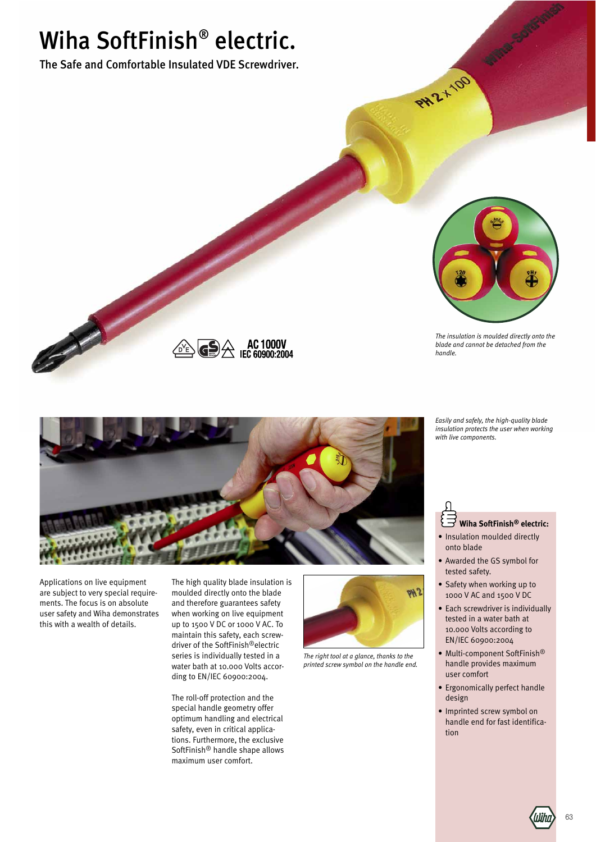# Wiha SoftFinish® electric.

The Safe and Comfortable Insulated VDE Screwdriver.



PH2+100 Miller

*The insulation is moulded directly onto the blade and cannot be detached from the handle.*

*Easily and safely, the high-quality blade insulation protects the user when working with live components.*



 $\bigodot \bigotimes$  AC 1000V<br>IEC 60900:2004

Applications on live equipment are subject to very special requirements. The focus is on absolute user safety and Wiha demonstrates this with a wealth of details.

The high quality blade insulation is moulded directly onto the blade and therefore guarantees safety when working on live equipment up to 1500 V DC or 1000 V AC. To maintain this safety, each screwdriver of the SoftFinish®electric series is individually tested in a water bath at 10.000 Volts according to EN/IEC 60900:2004.

The roll-off protection and the special handle geometry offer optimum handling and electrical safety, even in critical applications. Furthermore, the exclusive SoftFinish® handle shape allows maximum user comfort.



*The right tool at a glance, thanks to the printed screw symbol on the handle end.*

## **Wiha SoftFinish® electric:**

- Insulation moulded directly onto blade
- Awarded the GS symbol for tested safety.
- Safety when working up to 1000 V AC and 1500 V DC
- Each screwdriver is individually tested in a water bath at 10.000 Volts according to EN/IEC 60900:2004
- Multi-component SoftFinish® handle provides maximum user comfort
- Ergonomically perfect handle design
- Imprinted screw symbol on handle end for fast identification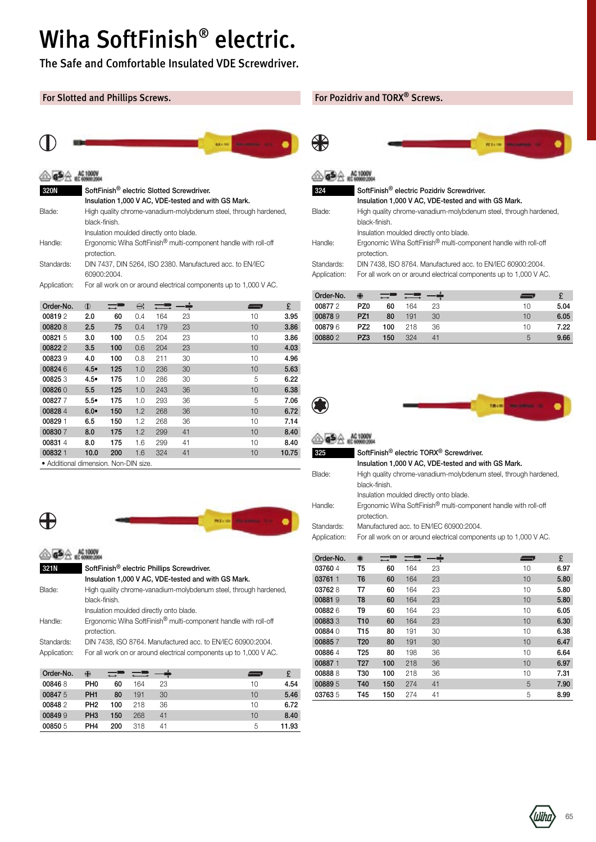## Wiha SoftFinish® electric.

The Safe and Comfortable Insulated VDE Screwdriver.

#### For Slotted and Phillips Screws.



### $@6926000$

| <b>320N</b>  | SoftFinish <sup>®</sup> electric Slotted Screwdriver.                                      |
|--------------|--------------------------------------------------------------------------------------------|
|              | Insulation 1,000 V AC, VDE-tested and with GS Mark.                                        |
| Blade:       | High quality chrome-vanadium-molybdenum steel, through hardened,<br>black-finish.          |
|              | Insulation moulded directly onto blade.                                                    |
| Handle:      | Ergonomic Wiha SoftFinish <sup>®</sup> multi-component handle with roll-off<br>protection. |
| Standards:   | DIN 7437, DIN 5264, ISO 2380. Manufactured acc. to EN/IEC<br>60900:2004.                   |
| Application: | For all work on or around electrical components up to 1,000 V AC.                          |

| Order-No.                             | $\mathbb{O}$  |     | $\ominus$ |     |    | — … | £     |
|---------------------------------------|---------------|-----|-----------|-----|----|-----|-------|
| 008192                                | 2.0           | 60  | 0.4       | 164 | 23 | 10  | 3.95  |
| 008208                                | $2.5\,$       | 75  | 0.4       | 179 | 23 | 10  | 3.86  |
| 008215                                | 3.0           | 100 | 0.5       | 204 | 23 | 10  | 3.86  |
| 008222                                | 3.5           | 100 | 0.6       | 204 | 23 | 10  | 4.03  |
| 008239                                | 4.0           | 100 | 0.8       | 211 | 30 | 10  | 4.96  |
| 008246                                | 4.5•          | 125 | 1.0       | 236 | 30 | 10  | 5.63  |
| 008253                                | $4.5^{\circ}$ | 175 | 1.0       | 286 | 30 | 5   | 6.22  |
| 008260                                | 5.5           | 125 | 1.0       | 243 | 36 | 10  | 6.38  |
| 008277                                | $5.5^{\circ}$ | 175 | 1.0       | 293 | 36 | 5   | 7.06  |
| 008284                                | 6.0           | 150 | 1.2       | 268 | 36 | 10  | 6.72  |
| 00829 1                               | 6.5           | 150 | 1.2       | 268 | 36 | 10  | 7.14  |
| 008307                                | 8.0           | 175 | 1.2       | 299 | 41 | 10  | 8.40  |
| 008314                                | 8.0           | 175 | 1.6       | 299 | 41 | 10  | 8.40  |
| 00832 1                               | 10.0          | 200 | 1.6       | 324 | 41 | 10  | 10.75 |
| • Additional dimension. Non-DIN size. |               |     |           |     |    |     |       |



#### **AC1000V** 321N SoftFinish® electric Phillips Screwdriver. Insulation 1,000 V AC, VDE-tested and with GS Mark. Blade: High quality [chrome-vanadium-molybdenum](http://www.wiha.com/shop/en/index.php?id=321N) steel, through hardened, black-finish. Insulation moulded directly onto blade. Handle: Ergonomic Wiha SoftFinish<sup>®</sup> multi-component handle with roll-off protection. Standards: DIN 7438, ISO 8764. Manufactured acc. to EN/IEC 60900:2004. Application: For all work on or around electrical components up to 1,000 V AC.

| Order-No. | ⊕               |     |     |    | —  |       |
|-----------|-----------------|-----|-----|----|----|-------|
| 008468    | PH <sub>0</sub> | 60  | 164 | 23 | 10 | 4.54  |
| 008475    | PH <sub>1</sub> | 80  | 191 | 30 | 10 | 5.46  |
| 008482    | PH <sub>2</sub> | 100 | 218 | 36 | 10 | 6.72  |
| 008499    | PH <sub>3</sub> | 150 | 268 | 41 | 10 | 8.40  |
| 00850 5   | PH <sub>4</sub> | 200 | 318 | 41 | 5  | 11.93 |

#### For Pozidriv and TORX® Screws.



#### **<b>AL 1000V** 324 SoftFinish® electric Pozidriv Screwdriver.

⊕

| - 34         | <u>JUILITIISII: CICCLIIC FUZIUITI JUICWUITICI.</u>                |
|--------------|-------------------------------------------------------------------|
|              | Insulation 1,000 V AC, VDE-tested and with GS Mark.               |
| Blade:       | High quality chrome-vanadium-molybdenum steel, through hardened,  |
|              | black-finish.                                                     |
|              | Insulation moulded directly onto blade.                           |
| Handle:      | Ergonomic Wiha SoftFinish® multi-component handle with roll-off   |
|              | protection.                                                       |
| Standards:   | DIN 7438, ISO 8764. Manufactured acc. to EN/IEC 60900:2004.       |
| Application: | For all work on or around electrical components up to 1,000 V AC. |
|              |                                                                   |

| Order-No. | ₩               | $\rightarrow$ |     |    | <b>START OF BUILDING</b> |      |
|-----------|-----------------|---------------|-----|----|--------------------------|------|
| 008772    | PZ0             | 60            | 164 | 23 | 10                       | 5.04 |
| 008789    | PZ <sub>1</sub> | 80            | 191 | 30 | 10                       | 6.05 |
| 008796    | PZ <sub>2</sub> | 100           | 218 | 36 | 10                       | 7.22 |
| 008802    | PZ3             | 150           | 324 | 41 | 5                        | 9.66 |



| 325          | SoftFinish <sup>®</sup> electric TORX <sup>®</sup> Screwdriver.   |                                         |     |    |                                                     |                                                                             |      |  |  |  |
|--------------|-------------------------------------------------------------------|-----------------------------------------|-----|----|-----------------------------------------------------|-----------------------------------------------------------------------------|------|--|--|--|
|              |                                                                   |                                         |     |    | Insulation 1,000 V AC, VDE-tested and with GS Mark. |                                                                             |      |  |  |  |
| Blade:       |                                                                   |                                         |     |    |                                                     | High quality chrome-vanadium-molybdenum steel, through hardened,            |      |  |  |  |
|              | black-finish.                                                     |                                         |     |    |                                                     |                                                                             |      |  |  |  |
|              |                                                                   | Insulation moulded directly onto blade. |     |    |                                                     |                                                                             |      |  |  |  |
| Handle:      |                                                                   |                                         |     |    |                                                     | Ergonomic Wiha SoftFinish <sup>®</sup> multi-component handle with roll-off |      |  |  |  |
|              | protection.                                                       |                                         |     |    |                                                     |                                                                             |      |  |  |  |
| Standards:   |                                                                   | Manufactured acc. to EN/IEC 60900:2004. |     |    |                                                     |                                                                             |      |  |  |  |
| Application: | For all work on or around electrical components up to 1,000 V AC. |                                         |     |    |                                                     |                                                                             |      |  |  |  |
|              |                                                                   |                                         |     |    |                                                     |                                                                             |      |  |  |  |
| Order-No.    | $\bigcirc$                                                        |                                         |     |    |                                                     |                                                                             | £    |  |  |  |
| 037604       | т5                                                                | 60                                      | 164 | 23 |                                                     | 10                                                                          | 6.97 |  |  |  |
|              |                                                                   |                                         |     |    |                                                     |                                                                             |      |  |  |  |

| 03760 4 | T5              | 60  | 164 | 23 | 10<br>6.97 |
|---------|-----------------|-----|-----|----|------------|
| 03761 1 | T <sub>6</sub>  | 60  | 164 | 23 | 5.80<br>10 |
| 037628  | T7              | 60  | 164 | 23 | 10<br>5.80 |
| 008819  | T <sub>8</sub>  | 60  | 164 | 23 | 5.80<br>10 |
| 008826  | T9              | 60  | 164 | 23 | 10<br>6.05 |
| 008833  | T <sub>10</sub> | 60  | 164 | 23 | 6.30<br>10 |
| 00884 0 | T <sub>15</sub> | 80  | 191 | 30 | 10<br>6.38 |
| 008857  | T <sub>20</sub> | 80  | 191 | 30 | 10<br>6.47 |
| 008864  | T <sub>25</sub> | 80  | 198 | 36 | 10<br>6.64 |
| 008871  | T <sub>27</sub> | 100 | 218 | 36 | 10<br>6.97 |
| 008888  | T30             | 100 | 218 | 36 | 10<br>7.31 |
| 008895  | T40             | 150 | 274 | 41 | 7.90<br>5  |
| 037635  | T45             | 150 | 274 | 41 | 5<br>8.99  |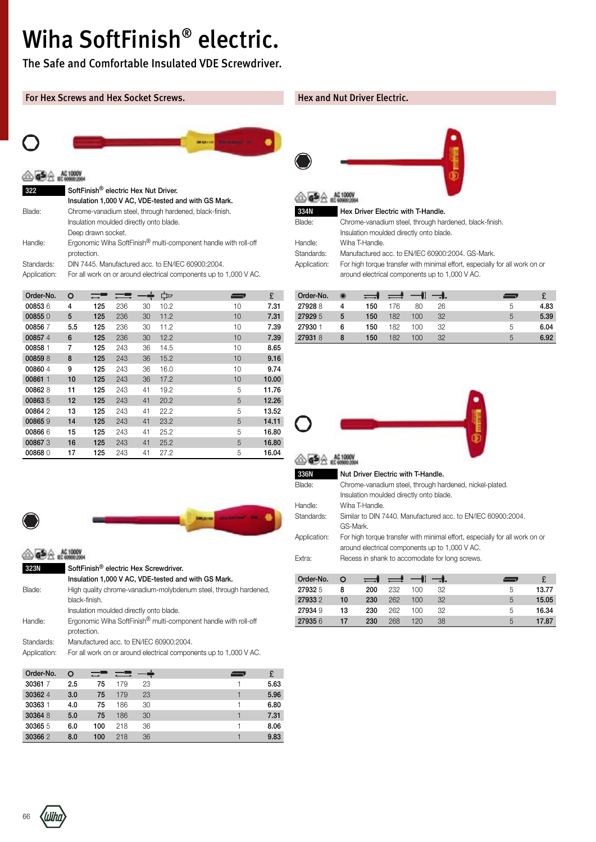## Wiha SoftFinish® electric.

The Safe and Comfortable Insulated VDE Screwdriver.

### For Hex Screws and Hex Socket Screws.



| 322          | SoftFinish <sup>®</sup> electric Hex Nut Driver.                                           |
|--------------|--------------------------------------------------------------------------------------------|
|              | Insulation 1,000 V AC, VDE-tested and with GS Mark.                                        |
| Blade:       | Chrome-vanadium steel, through hardened, black-finish.                                     |
|              | Insulation moulded directly onto blade.                                                    |
|              | Deep drawn socket.                                                                         |
| Handle:      | Ergonomic Wiha SoftFinish <sup>®</sup> multi-component handle with roll-off<br>protection. |
| Standards:   | DIN 7445. Manufactured acc. to EN/IEC 60900:2004.                                          |
| Application: | For all work on or around electrical components up to 1,000 V AC.                          |

| Order-No. | O   |     |     |    | ¢    | <u>— ,</u> | £     |
|-----------|-----|-----|-----|----|------|------------|-------|
| 008536    | 4   | 125 | 236 | 30 | 10.2 | 10         | 7.31  |
| 008550    | 5   | 125 | 236 | 30 | 11.2 | 10         | 7.31  |
| 008567    | 5.5 | 125 | 236 | 30 | 11.2 | 10         | 7.39  |
| 008574    | 6   | 125 | 236 | 30 | 12.2 | 10         | 7.39  |
| 00858 1   | 7   | 125 | 243 | 36 | 14.5 | 10         | 8.65  |
| 008598    | 8   | 125 | 243 | 36 | 15.2 | 10         | 9.16  |
| 008604    | 9   | 125 | 243 | 36 | 16.0 | 10         | 9.74  |
| 00861 1   | 10  | 125 | 243 | 36 | 17.2 | 10         | 10.00 |
| 008628    | 11  | 125 | 243 | 41 | 19.2 | 5          | 11.76 |
| 008635    | 12  | 125 | 243 | 41 | 20.2 | 5          | 12.26 |
| 008642    | 13  | 125 | 243 | 41 | 22.2 | 5          | 13.52 |
| 008659    | 14  | 125 | 243 | 41 | 23.2 | 5          | 14.11 |
| 008666    | 15  | 125 | 243 | 41 | 25.2 | 5          | 16.80 |
| 008673    | 16  | 125 | 243 | 41 | 25.2 | 5          | 16.80 |
| 008680    | 17  | 125 | 243 | 41 | 27.2 | 5          | 16.04 |



### **△<del>GS</del>A** AC1000V

| 323N         | SoftFinish <sup>®</sup> electric Hex Screwdriver.                           |
|--------------|-----------------------------------------------------------------------------|
|              | Insulation 1,000 V AC, VDE-tested and with GS Mark.                         |
| Blade:       | High quality chrome-vanadium-molybdenum steel, through hardened,            |
|              | black-finish.                                                               |
|              | Insulation moulded directly onto blade.                                     |
| Handle:      | Ergonomic Wiha SoftFinish <sup>®</sup> multi-component handle with roll-off |
|              | protection.                                                                 |
| Standards:   | Manufactured acc. to EN/IEC 60900:2004.                                     |
| Application: | For all work on or around electrical components up to 1,000 V AC.           |
|              |                                                                             |

| Order-No. | O   | $\longleftrightarrow$ |     |    |  |      |
|-----------|-----|-----------------------|-----|----|--|------|
| 303617    | 2.5 | 75                    | 179 | 23 |  | 5.63 |
| 303624    | 3.0 | 75                    | 179 | 23 |  | 5.96 |
| 30363 1   | 4.0 | 75                    | 186 | 30 |  | 6.80 |
| 303648    | 5.0 | 75                    | 186 | 30 |  | 7.31 |
| 303655    | 6.0 | 100                   | 218 | 36 |  | 8.06 |
| 303662    | 8.0 | 100                   | 218 | 36 |  | 9.83 |

#### Hex and Nut Driver Electric.



| Blade: | Chrome-vanadium steel, through hardened, black-finish. |
|--------|--------------------------------------------------------|
|        | Insulation moulded directly onto blade.                |

Handle: Wiha T-Handle.

Standards: Manufactured acc. to EN/IEC 60900:2004. GS-Mark.

Application: For high torque transfer with minimal effort, especially for all work on or around electrical components up to 1,000 V AC.

| Order-No. | $_{\odot}$ | $\rightleftharpoons$ | $\rightleftharpoons$ |     | $-1$ |   |      |
|-----------|------------|----------------------|----------------------|-----|------|---|------|
| 279288    |            | 150                  | 176                  | 80  | 26   | 5 | 4.83 |
| 27929 5   | 5          | 150                  | 182                  | 100 | 32   | 5 | 5.39 |
| 27930 1   | 6          | 150                  | 182                  | 100 | 32   | 5 | 6.04 |
| 279318    |            | 150                  | 182                  | 100 | 32   | 5 | 6.92 |



| 336N         | Nut Driver Electric with T-Handle.                                          |
|--------------|-----------------------------------------------------------------------------|
| Blade:       | Chrome-vanadium steel, through hardened, nickel-plated.                     |
|              | Insulation moulded directly onto blade.                                     |
| Handle:      | Wiha T-Handle.                                                              |
| Standards:   | Similar to DIN 7440. Manufactured acc. to EN/IEC 60900:2004.                |
|              | GS-Mark.                                                                    |
| Application: | For high torque transfer with minimal effort, especially for all work on or |
|              | around electrical components up to 1,000 V AC.                              |
| Fxtra:       | Recess in shank to accomodate for long screws.                              |
|              |                                                                             |

| Order-No. | O  | $\rightleftharpoons$ | ▕▅▌╺╢ |         | $-1$ . | ╼ |       |
|-----------|----|----------------------|-------|---------|--------|---|-------|
| 279325    | 8  | 200                  | 232   | 100     | 32     | 5 | 13.77 |
| 279332    | 10 | 230                  | 262   | $100 -$ | 32     | 5 | 15.05 |
| 27934 9   | 13 | 230                  | 262   | 100     | 32     | 5 | 16.34 |
| 279356    | 17 | 230                  | 268   | 120     | 38     | 5 | 17.87 |

66